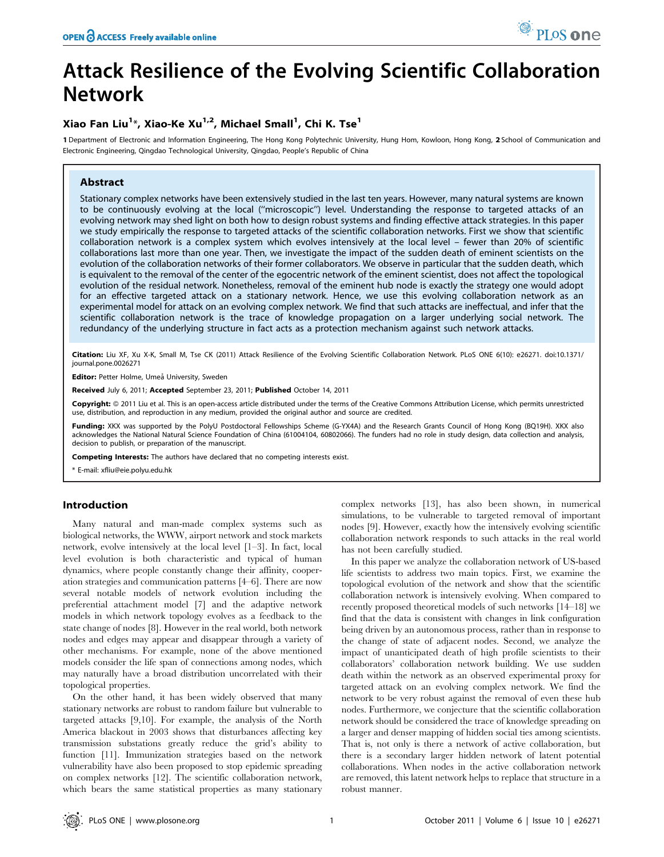# Attack Resilience of the Evolving Scientific Collaboration Network

# Xiao Fan Liu $^{\rm 1*}$ , Xiao-Ke Xu $^{\rm 1,2}$ , Michael Small $^{\rm 1}$ , Chi K. Tse $^{\rm 1}$

1 Department of Electronic and Information Engineering, The Hong Kong Polytechnic University, Hung Hom, Kowloon, Hong Kong, 2 School of Communication and Electronic Engineering, Qingdao Technological University, Qingdao, People's Republic of China

# Abstract

Stationary complex networks have been extensively studied in the last ten years. However, many natural systems are known to be continuously evolving at the local (''microscopic'') level. Understanding the response to targeted attacks of an evolving network may shed light on both how to design robust systems and finding effective attack strategies. In this paper we study empirically the response to targeted attacks of the scientific collaboration networks. First we show that scientific collaboration network is a complex system which evolves intensively at the local level – fewer than 20% of scientific collaborations last more than one year. Then, we investigate the impact of the sudden death of eminent scientists on the evolution of the collaboration networks of their former collaborators. We observe in particular that the sudden death, which is equivalent to the removal of the center of the egocentric network of the eminent scientist, does not affect the topological evolution of the residual network. Nonetheless, removal of the eminent hub node is exactly the strategy one would adopt for an effective targeted attack on a stationary network. Hence, we use this evolving collaboration network as an experimental model for attack on an evolving complex network. We find that such attacks are ineffectual, and infer that the scientific collaboration network is the trace of knowledge propagation on a larger underlying social network. The redundancy of the underlying structure in fact acts as a protection mechanism against such network attacks.

Citation: Liu XF, Xu X-K, Small M, Tse CK (2011) Attack Resilience of the Evolving Scientific Collaboration Network. PLoS ONE 6(10): e26271. doi:10.1371/ journal.pone.0026271

Editor: Petter Holme, Umeå University, Sweden

Received July 6, 2011; Accepted September 23, 2011; Published October 14, 2011

Copyright: © 2011 Liu et al. This is an open-access article distributed under the terms of the Creative Commons Attribution License, which permits unrestricted use, distribution, and reproduction in any medium, provided the original author and source are credited.

Funding: XKX was supported by the PolyU Postdoctoral Fellowships Scheme (G-YX4A) and the Research Grants Council of Hong Kong (BQ19H). XKX also acknowledges the National Natural Science Foundation of China (61004104, 60802066). The funders had no role in study design, data collection and analysis, decision to publish, or preparation of the manuscript.

Competing Interests: The authors have declared that no competing interests exist.

\* E-mail: xfliu@eie.polyu.edu.hk

# Introduction

Many natural and man-made complex systems such as biological networks, the WWW, airport network and stock markets network, evolve intensively at the local level [1–3]. In fact, local level evolution is both characteristic and typical of human dynamics, where people constantly change their affinity, cooperation strategies and communication patterns [4–6]. There are now several notable models of network evolution including the preferential attachment model [7] and the adaptive network models in which network topology evolves as a feedback to the state change of nodes [8]. However in the real world, both network nodes and edges may appear and disappear through a variety of other mechanisms. For example, none of the above mentioned models consider the life span of connections among nodes, which may naturally have a broad distribution uncorrelated with their topological properties.

On the other hand, it has been widely observed that many stationary networks are robust to random failure but vulnerable to targeted attacks [9,10]. For example, the analysis of the North America blackout in 2003 shows that disturbances affecting key transmission substations greatly reduce the grid's ability to function [11]. Immunization strategies based on the network vulnerability have also been proposed to stop epidemic spreading on complex networks [12]. The scientific collaboration network, which bears the same statistical properties as many stationary complex networks [13], has also been shown, in numerical simulations, to be vulnerable to targeted removal of important nodes [9]. However, exactly how the intensively evolving scientific collaboration network responds to such attacks in the real world has not been carefully studied.

In this paper we analyze the collaboration network of US-based life scientists to address two main topics. First, we examine the topological evolution of the network and show that the scientific collaboration network is intensively evolving. When compared to recently proposed theoretical models of such networks [14–18] we find that the data is consistent with changes in link configuration being driven by an autonomous process, rather than in response to the change of state of adjacent nodes. Second, we analyze the impact of unanticipated death of high profile scientists to their collaborators' collaboration network building. We use sudden death within the network as an observed experimental proxy for targeted attack on an evolving complex network. We find the network to be very robust against the removal of even these hub nodes. Furthermore, we conjecture that the scientific collaboration network should be considered the trace of knowledge spreading on a larger and denser mapping of hidden social ties among scientists. That is, not only is there a network of active collaboration, but there is a secondary larger hidden network of latent potential collaborations. When nodes in the active collaboration network are removed, this latent network helps to replace that structure in a robust manner.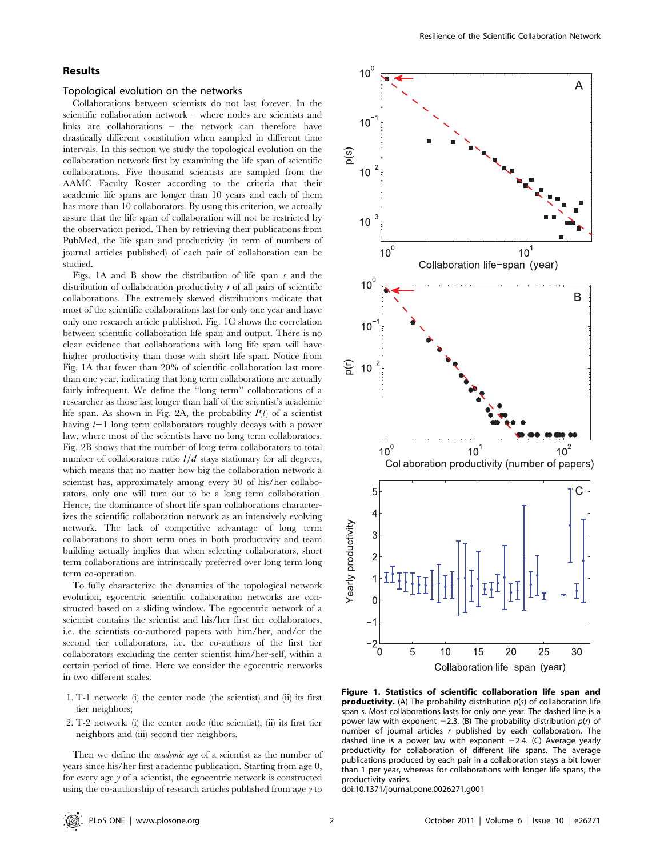# Results

#### Topological evolution on the networks

Collaborations between scientists do not last forever. In the scientific collaboration network – where nodes are scientists and links are collaborations – the network can therefore have drastically different constitution when sampled in different time intervals. In this section we study the topological evolution on the collaboration network first by examining the life span of scientific collaborations. Five thousand scientists are sampled from the AAMC Faculty Roster according to the criteria that their academic life spans are longer than 10 years and each of them has more than 10 collaborators. By using this criterion, we actually assure that the life span of collaboration will not be restricted by the observation period. Then by retrieving their publications from PubMed, the life span and productivity (in term of numbers of journal articles published) of each pair of collaboration can be studied.

Figs. 1A and B show the distribution of life span s and the distribution of collaboration productivity  $r$  of all pairs of scientific collaborations. The extremely skewed distributions indicate that most of the scientific collaborations last for only one year and have only one research article published. Fig. 1C shows the correlation between scientific collaboration life span and output. There is no clear evidence that collaborations with long life span will have higher productivity than those with short life span. Notice from Fig. 1A that fewer than 20% of scientific collaboration last more than one year, indicating that long term collaborations are actually fairly infrequent. We define the ''long term'' collaborations of a researcher as those last longer than half of the scientist's academic life span. As shown in Fig. 2A, the probability  $P(l)$  of a scientist having  $l-1$  long term collaborators roughly decays with a power law, where most of the scientists have no long term collaborators. Fig. 2B shows that the number of long term collaborators to total number of collaborators ratio  $l/d$  stays stationary for all degrees, which means that no matter how big the collaboration network a scientist has, approximately among every 50 of his/her collaborators, only one will turn out to be a long term collaboration. Hence, the dominance of short life span collaborations characterizes the scientific collaboration network as an intensively evolving network. The lack of competitive advantage of long term collaborations to short term ones in both productivity and team building actually implies that when selecting collaborators, short term collaborations are intrinsically preferred over long term long term co-operation.

To fully characterize the dynamics of the topological network evolution, egocentric scientific collaboration networks are constructed based on a sliding window. The egocentric network of a scientist contains the scientist and his/her first tier collaborators, i.e. the scientists co-authored papers with him/her, and/or the second tier collaborators, i.e. the co-authors of the first tier collaborators excluding the center scientist him/her-self, within a certain period of time. Here we consider the egocentric networks in two different scales:

- 1. T-1 network: (i) the center node (the scientist) and (ii) its first tier neighbors;
- 2. T-2 network: (i) the center node (the scientist), (ii) its first tier neighbors and (iii) second tier neighbors.

Then we define the *academic age* of a scientist as the number of years since his/her first academic publication. Starting from age 0, for every age y of a scientist, the egocentric network is constructed using the co-authorship of research articles published from age  $\nu$  to



Figure 1. Statistics of scientific collaboration life span and **productivity.** (A) The probability distribution  $p(s)$  of collaboration life span s. Most collaborations lasts for only one year. The dashed line is a power law with exponent  $-2.3$ . (B) The probability distribution  $p(r)$  of number of journal articles r published by each collaboration. The dashed line is a power law with exponent  $-2.4$ . (C) Average yearly productivity for collaboration of different life spans. The average publications produced by each pair in a collaboration stays a bit lower than 1 per year, whereas for collaborations with longer life spans, the productivity varies.

doi:10.1371/journal.pone.0026271.g001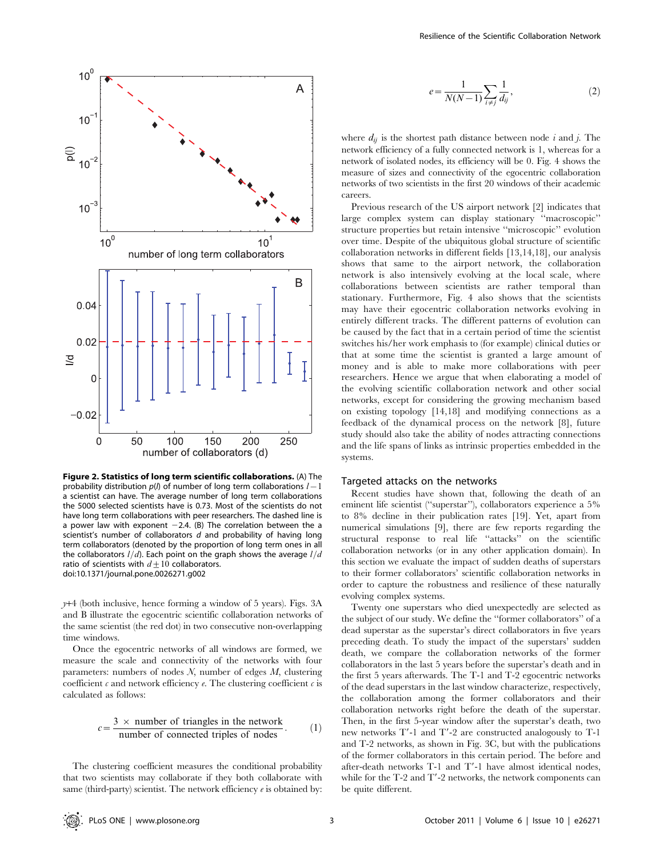

Figure 2. Statistics of long term scientific collaborations. (A) The probability distribution  $p(l)$  of number of long term collaborations  $l-1$ a scientist can have. The average number of long term collaborations the 5000 selected scientists have is 0.73. Most of the scientists do not have long term collaborations with peer researchers. The dashed line is a power law with exponent  $-2.4$ . (B) The correlation between the a scientist's number of collaborators d and probability of having long term collaborators (denoted by the proportion of long term ones in all the collaborators  $l/d$ ). Each point on the graph shows the average  $l/d$ ratio of scientists with  $d\pm10$  collaborators. doi:10.1371/journal.pone.0026271.g002

y+4 (both inclusive, hence forming a window of 5 years). Figs. 3A and B illustrate the egocentric scientific collaboration networks of the same scientist (the red dot) in two consecutive non-overlapping time windows.

Once the egocentric networks of all windows are formed, we measure the scale and connectivity of the networks with four parameters: numbers of nodes  $N$ , number of edges  $M$ , clustering coefficient  $c$  and network efficiency  $e$ . The clustering coefficient  $c$  is calculated as follows:

$$
c = \frac{3 \times \text{ number of triangles in the network}}{\text{number of connected triples of nodes}}.
$$
 (1)

The clustering coefficient measures the conditional probability that two scientists may collaborate if they both collaborate with same (third-party) scientist. The network efficiency  $e$  is obtained by:

$$
e = \frac{1}{N(N-1)} \sum_{i \neq j} \frac{1}{d_{ij}},
$$
\n(2)

where  $d_{ij}$  is the shortest path distance between node i and j. The network efficiency of a fully connected network is 1, whereas for a network of isolated nodes, its efficiency will be 0. Fig. 4 shows the measure of sizes and connectivity of the egocentric collaboration networks of two scientists in the first 20 windows of their academic careers.

Previous research of the US airport network [2] indicates that large complex system can display stationary ''macroscopic'' structure properties but retain intensive ''microscopic'' evolution over time. Despite of the ubiquitous global structure of scientific collaboration networks in different fields [13,14,18], our analysis shows that same to the airport network, the collaboration network is also intensively evolving at the local scale, where collaborations between scientists are rather temporal than stationary. Furthermore, Fig. 4 also shows that the scientists may have their egocentric collaboration networks evolving in entirely different tracks. The different patterns of evolution can be caused by the fact that in a certain period of time the scientist switches his/her work emphasis to (for example) clinical duties or that at some time the scientist is granted a large amount of money and is able to make more collaborations with peer researchers. Hence we argue that when elaborating a model of the evolving scientific collaboration network and other social networks, except for considering the growing mechanism based on existing topology [14,18] and modifying connections as a feedback of the dynamical process on the network [8], future study should also take the ability of nodes attracting connections and the life spans of links as intrinsic properties embedded in the systems.

#### Targeted attacks on the networks

Recent studies have shown that, following the death of an eminent life scientist (''superstar''), collaborators experience a 5% to 8% decline in their publication rates [19]. Yet, apart from numerical simulations [9], there are few reports regarding the structural response to real life ''attacks'' on the scientific collaboration networks (or in any other application domain). In this section we evaluate the impact of sudden deaths of superstars to their former collaborators' scientific collaboration networks in order to capture the robustness and resilience of these naturally evolving complex systems.

Twenty one superstars who died unexpectedly are selected as the subject of our study. We define the ''former collaborators'' of a dead superstar as the superstar's direct collaborators in five years preceding death. To study the impact of the superstars' sudden death, we compare the collaboration networks of the former collaborators in the last 5 years before the superstar's death and in the first 5 years afterwards. The T-1 and T-2 egocentric networks of the dead superstars in the last window characterize, respectively, the collaboration among the former collaborators and their collaboration networks right before the death of the superstar. Then, in the first 5-year window after the superstar's death, two new networks  $T'-1$  and  $T'-2$  are constructed analogously to  $T-1$ and T-2 networks, as shown in Fig. 3C, but with the publications of the former collaborators in this certain period. The before and after-death networks  $T-1$  and  $T'-1$  have almost identical nodes, while for the T-2 and  $T'$ -2 networks, the network components can be quite different.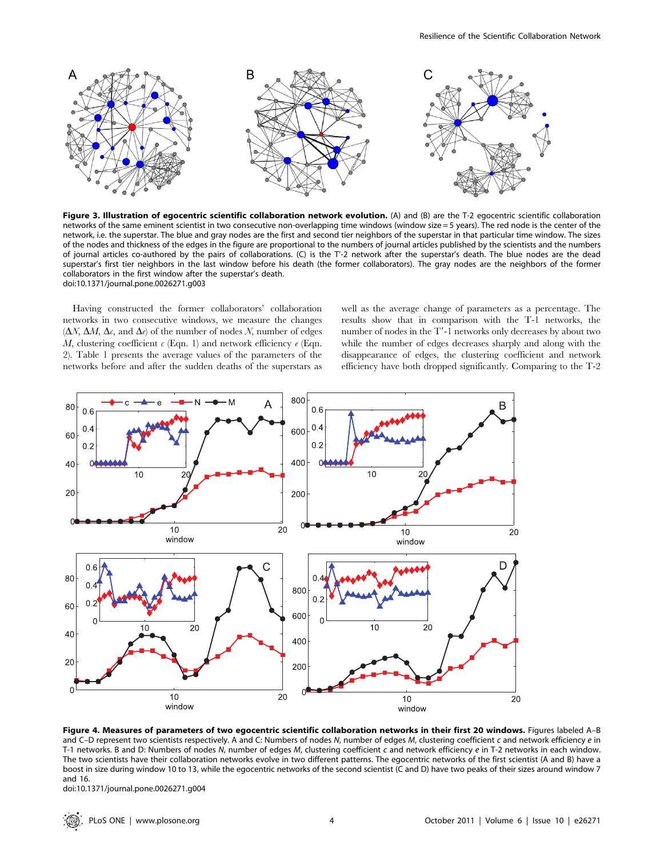

Figure 3. Illustration of egocentric scientific collaboration network evolution. (A) and (B) are the T-2 egocentric scientific collaboration networks of the same eminent scientist in two consecutive non-overlapping time windows (window size = 5 years). The red node is the center of the network, i.e. the superstar. The blue and gray nodes are the first and second tier neighbors of the superstar in that particular time window. The sizes of the nodes and thickness of the edges in the figure are proportional to the numbers of journal articles published by the scientists and the numbers of journal articles co-authored by the pairs of collaborations. (C) is the T'-2 network after the superstar's death. The blue nodes are the dead superstar's first tier neighbors in the last window before his death (the former collaborators). The gray nodes are the neighbors of the former collaborators in the first window after the superstar's death. doi:10.1371/journal.pone.0026271.g003

Having constructed the former collaborators' collaboration networks in two consecutive windows, we measure the changes  $(\Delta N, \Delta M, \Delta \epsilon, \Delta \epsilon)$  of the number of nodes N, number of edges M, clustering coefficient  $\epsilon$  (Eqn. 1) and network efficiency  $\epsilon$  (Eqn. 2). Table 1 presents the average values of the parameters of the networks before and after the sudden deaths of the superstars as well as the average change of parameters as a percentage. The results show that in comparison with the T-1 networks, the number of nodes in the  $T'-1$  networks only decreases by about two while the number of edges decreases sharply and along with the disappearance of edges, the clustering coefficient and network efficiency have both dropped significantly. Comparing to the T-2



Figure 4. Measures of parameters of two egocentric scientific collaboration networks in their first 20 windows. Figures labeled A–B and C–D represent two scientists respectively. A and C: Numbers of nodes N, number of edges M, clustering coefficient c and network efficiency e in T-1 networks. B and D: Numbers of nodes N, number of edges M, clustering coefficient c and network efficiency e in T-2 networks in each window. The two scientists have their collaboration networks evolve in two different patterns. The egocentric networks of the first scientist (A and B) have a boost in size during window 10 to 13, while the egocentric networks of the second scientist (C and D) have two peaks of their sizes around window 7 and 16.

doi:10.1371/journal.pone.0026271.g004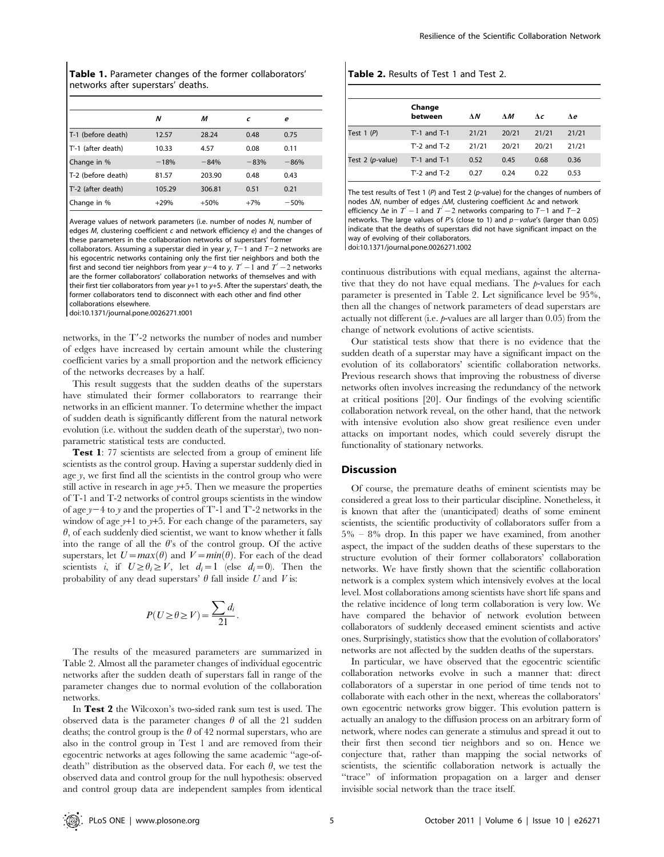Table 1. Parameter changes of the former collaborators' networks after superstars' deaths.

|                    | N      | М      | с      | е      |
|--------------------|--------|--------|--------|--------|
| T-1 (before death) | 12.57  | 28.24  | 0.48   | 0.75   |
| T'-1 (after death) | 10.33  | 4.57   | 0.08   | 0.11   |
| Change in %        | $-18%$ | $-84%$ | $-83%$ | $-86%$ |
| T-2 (before death) | 81.57  | 203.90 | 0.48   | 0.43   |
| T'-2 (after death) | 105.29 | 306.81 | 0.51   | 0.21   |
| Change in %        | $+29%$ | $+50%$ | $+7%$  | $-50%$ |

Average values of network parameters (i.e. number of nodes N, number of edges M, clustering coefficient c and network efficiency e) and the changes of these parameters in the collaboration networks of superstars' former collaborators. Assuming a superstar died in year y,  $T-1$  and  $T-2$  networks are his egocentric networks containing only the first tier neighbors and both the first and second tier neighbors from year y–4 to y.  $T^{'}$   $-1$  and  $T^{'}$   $-2$  networks are the former collaborators' collaboration networks of themselves and with their first tier collaborators from year y+1 to y+5. After the superstars' death, the former collaborators tend to disconnect with each other and find other collaborations elsewhere.

doi:10.1371/journal.pone.0026271.t001

networks, in the  $T'-2$  networks the number of nodes and number of edges have increased by certain amount while the clustering coefficient varies by a small proportion and the network efficiency of the networks decreases by a half.

This result suggests that the sudden deaths of the superstars have stimulated their former collaborators to rearrange their networks in an efficient manner. To determine whether the impact of sudden death is significantly different from the natural network evolution (i.e. without the sudden death of the superstar), two nonparametric statistical tests are conducted.

Test 1: 77 scientists are selected from a group of eminent life scientists as the control group. Having a superstar suddenly died in age  $y$ , we first find all the scientists in the control group who were still active in research in age  $y+5$ . Then we measure the properties of T-1 and T-2 networks of control groups scientists in the window of age  $y-4$  to y and the properties of T'-1 and T'-2 networks in the window of age  $\nu+1$  to  $\nu+5$ . For each change of the parameters, say  $\theta$ , of each suddenly died scientist, we want to know whether it falls into the range of all the  $\theta$ 's of the control group. Of the active superstars, let  $U=max(\theta)$  and  $V=min(\theta)$ . For each of the dead scientists i, if  $U \geq \theta_i \geq V$ , let  $d_i=1$  (else  $d_i=0$ ). Then the probability of any dead superstars'  $\theta$  fall inside U and V is:

$$
P(U \ge \theta \ge V) = \frac{\sum d_i}{21}.
$$

The results of the measured parameters are summarized in Table 2. Almost all the parameter changes of individual egocentric networks after the sudden death of superstars fall in range of the parameter changes due to normal evolution of the collaboration networks.

In Test 2 the Wilcoxon's two-sided rank sum test is used. The observed data is the parameter changes  $\theta$  of all the 21 sudden deaths; the control group is the  $\theta$  of 42 normal superstars, who are also in the control group in Test 1 and are removed from their egocentric networks at ages following the same academic ''age-ofdeath" distribution as the observed data. For each  $\theta$ , we test the observed data and control group for the null hypothesis: observed and control group data are independent samples from identical

#### Table 2. Results of Test 1 and Test 2.

|                  | Change<br>between  | $\Lambda N$ | $\Lambda$ <i>M</i> | $\Lambda c$ | Δe    |  |
|------------------|--------------------|-------------|--------------------|-------------|-------|--|
| Test $1(P)$      | $T'$ -1 and $T$ -1 | 21/21       | 20/21              | 21/21       | 21/21 |  |
|                  | $T'$ -2 and $T$ -2 | 21/21       | 20/21              | 20/21       | 21/21 |  |
| Test 2 (p-value) | $T'$ -1 and $T-1$  | 0.52        | 0.45               | 0.68        | 0.36  |  |
|                  | $T'$ -2 and $T$ -2 | 0.27        | 0.24               | 0.22        | 0.53  |  |

The test results of Test 1 (P) and Test 2 (p-value) for the changes of numbers of nodes  $\Delta N$ , number of edges  $\Delta M$ , clustering coefficient  $\Delta c$  and network efficiency  $\Delta e$  in  $T^{'} - 1$  and  $T - 2$  networks comparing to  $T - 1$  and  $T - 2$ networks. The large values of P's (close to 1) and  $p-value$ 's (larger than 0.05) indicate that the deaths of superstars did not have significant impact on the way of evolving of their collaborators.

doi:10.1371/journal.pone.0026271.t002

continuous distributions with equal medians, against the alternative that they do not have equal medians. The p-values for each parameter is presented in Table 2. Let significance level be 95%, then all the changes of network parameters of dead superstars are actually not different (i.e. p-values are all larger than 0.05) from the change of network evolutions of active scientists.

Our statistical tests show that there is no evidence that the sudden death of a superstar may have a significant impact on the evolution of its collaborators' scientific collaboration networks. Previous research shows that improving the robustness of diverse networks often involves increasing the redundancy of the network at critical positions [20]. Our findings of the evolving scientific collaboration network reveal, on the other hand, that the network with intensive evolution also show great resilience even under attacks on important nodes, which could severely disrupt the functionality of stationary networks.

## Discussion

Of course, the premature deaths of eminent scientists may be considered a great loss to their particular discipline. Nonetheless, it is known that after the (unanticipated) deaths of some eminent scientists, the scientific productivity of collaborators suffer from a 5% – 8% drop. In this paper we have examined, from another aspect, the impact of the sudden deaths of these superstars to the structure evolution of their former collaborators' collaboration networks. We have firstly shown that the scientific collaboration network is a complex system which intensively evolves at the local level. Most collaborations among scientists have short life spans and the relative incidence of long term collaboration is very low. We have compared the behavior of network evolution between collaborators of suddenly deceased eminent scientists and active ones. Surprisingly, statistics show that the evolution of collaborators' networks are not affected by the sudden deaths of the superstars.

In particular, we have observed that the egocentric scientific collaboration networks evolve in such a manner that: direct collaborators of a superstar in one period of time tends not to collaborate with each other in the next, whereas the collaborators' own egocentric networks grow bigger. This evolution pattern is actually an analogy to the diffusion process on an arbitrary form of network, where nodes can generate a stimulus and spread it out to their first then second tier neighbors and so on. Hence we conjecture that, rather than mapping the social networks of scientists, the scientific collaboration network is actually the "trace" of information propagation on a larger and denser invisible social network than the trace itself.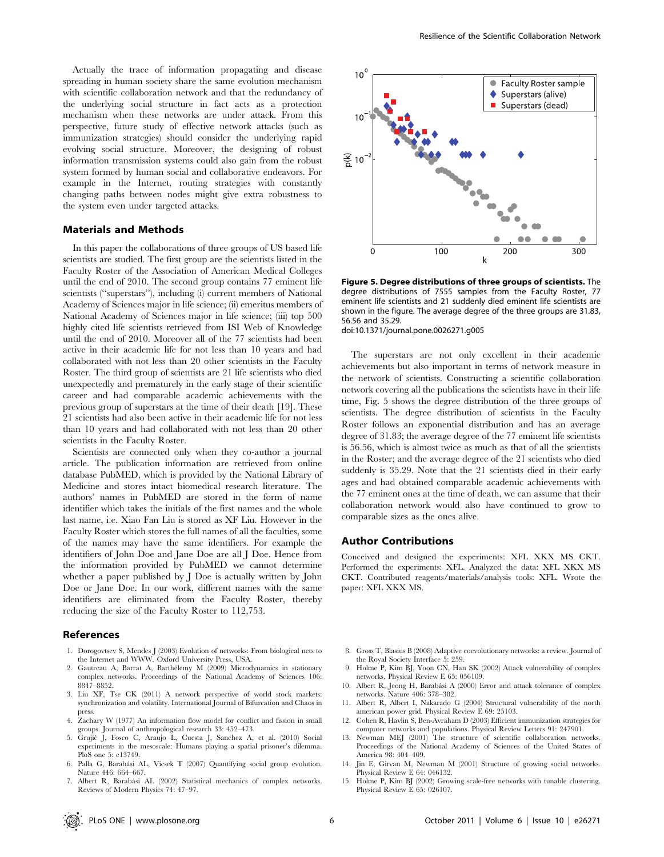Actually the trace of information propagating and disease spreading in human society share the same evolution mechanism with scientific collaboration network and that the redundancy of the underlying social structure in fact acts as a protection mechanism when these networks are under attack. From this perspective, future study of effective network attacks (such as immunization strategies) should consider the underlying rapid evolving social structure. Moreover, the designing of robust information transmission systems could also gain from the robust system formed by human social and collaborative endeavors. For example in the Internet, routing strategies with constantly changing paths between nodes might give extra robustness to the system even under targeted attacks.

# Materials and Methods

In this paper the collaborations of three groups of US based life scientists are studied. The first group are the scientists listed in the Faculty Roster of the Association of American Medical Colleges until the end of 2010. The second group contains 77 eminent life scientists (''superstars''), including (i) current members of National Academy of Sciences major in life science; (ii) emeritus members of National Academy of Sciences major in life science; (iii) top 500 highly cited life scientists retrieved from ISI Web of Knowledge until the end of 2010. Moreover all of the 77 scientists had been active in their academic life for not less than 10 years and had collaborated with not less than 20 other scientists in the Faculty Roster. The third group of scientists are 21 life scientists who died unexpectedly and prematurely in the early stage of their scientific career and had comparable academic achievements with the previous group of superstars at the time of their death [19]. These 21 scientists had also been active in their academic life for not less than 10 years and had collaborated with not less than 20 other scientists in the Faculty Roster.

Scientists are connected only when they co-author a journal article. The publication information are retrieved from online database PubMED, which is provided by the National Library of Medicine and stores intact biomedical research literature. The authors' names in PubMED are stored in the form of name identifier which takes the initials of the first names and the whole last name, i.e. Xiao Fan Liu is stored as XF Liu. However in the Faculty Roster which stores the full names of all the faculties, some of the names may have the same identifiers. For example the identifiers of John Doe and Jane Doe are all J Doe. Hence from the information provided by PubMED we cannot determine whether a paper published by J Doe is actually written by John Doe or Jane Doe. In our work, different names with the same identifiers are eliminated from the Faculty Roster, thereby reducing the size of the Faculty Roster to 112,753.

### References

- 1. Dorogovtsev S, Mendes J (2003) Evolution of networks: From biological nets to the Internet and WWW. Oxford University Press, USA.
- Gautreau A, Barrat A, Barthélemy M (2009) Microdynamics in stationary complex networks. Proceedings of the National Academy of Sciences 106: 8847–8852.
- 3. Liu XF, Tse CK (2011) A network perspective of world stock markets: synchronization and volatility. International Journal of Bifurcation and Chaos in press.
- 4. Zachary W (1977) An information flow model for conflict and fission in small groups. Journal of anthropological research 33: 452–473.
- 5. Grujic´ J, Fosco C, Araujo L, Cuesta J, Sanchez A, et al. (2010) Social experiments in the mesoscale: Humans playing a spatial prisoner's dilemma. PloS one 5: e13749.
- 6. Palla G, Barabási AL, Vicsek T (2007) Quantifying social group evolution. Nature 446: 664–667.
- 7. Albert R, Barabási AL (2002) Statistical mechanics of complex networks. Reviews of Modern Physics 74: 47–97.



Figure 5. Degree distributions of three groups of scientists. The degree distributions of 7555 samples from the Faculty Roster, 77 eminent life scientists and 21 suddenly died eminent life scientists are shown in the figure. The average degree of the three groups are 31.83, 56.56 and 35.29. doi:10.1371/journal.pone.0026271.g005

The superstars are not only excellent in their academic achievements but also important in terms of network measure in the network of scientists. Constructing a scientific collaboration network covering all the publications the scientists have in their life time, Fig. 5 shows the degree distribution of the three groups of scientists. The degree distribution of scientists in the Faculty Roster follows an exponential distribution and has an average degree of 31.83; the average degree of the 77 eminent life scientists is 56.56, which is almost twice as much as that of all the scientists in the Roster; and the average degree of the 21 scientists who died suddenly is 35.29. Note that the 21 scientists died in their early ages and had obtained comparable academic achievements with the 77 eminent ones at the time of death, we can assume that their collaboration network would also have continued to grow to comparable sizes as the ones alive.

#### Author Contributions

Conceived and designed the experiments: XFL XKX MS CKT. Performed the experiments: XFL. Analyzed the data: XFL XKX MS CKT. Contributed reagents/materials/analysis tools: XFL. Wrote the paper: XFL XKX MS.

- 8. Gross T, Blasius B (2008) Adaptive coevolutionary networks: a review. Journal of the Royal Society Interface 5: 259.
- 9. Holme P, Kim BJ, Yoon CN, Han SK (2002) Attack vulnerability of complex networks. Physical Review E 65: 056109.
- 10. Albert R, Jeong H, Barabási A (2000) Error and attack tolerance of complex networks. Nature 406: 378–382.
- 11. Albert R, Albert I, Nakarado G (2004) Structural vulnerability of the north american power grid. Physical Review E 69: 25103.
- 12. Cohen R, Havlin S, Ben-Avraham D (2003) Efficient immunization strategies for computer networks and populations. Physical Review Letters 91: 247901.
- 13. Newman MEJ (2001) The structure of scientific collaboration networks. Proceedings of the National Academy of Sciences of the United States of America 98: 404–409.
- 14. Jin E, Girvan M, Newman M (2001) Structure of growing social networks. Physical Review E 64: 046132.
- 15. Holme P, Kim BJ (2002) Growing scale-free networks with tunable clustering. Physical Review E 65: 026107.